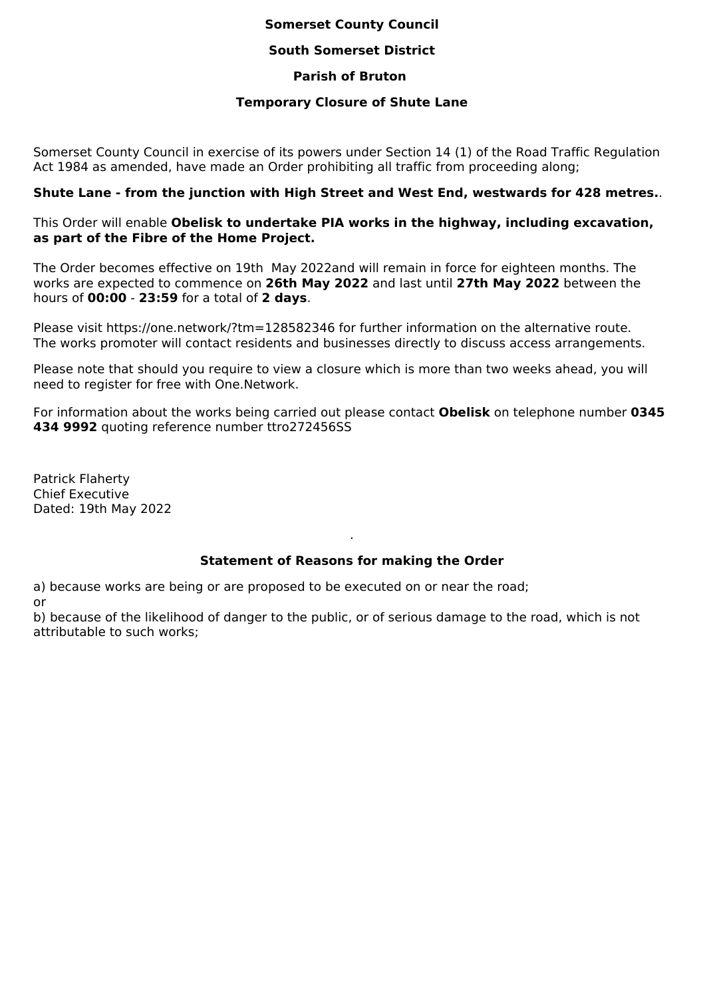# **Somerset County Council**

#### **South Somerset District**

## **Parish of Bruton**

#### **Temporary Closure of Shute Lane**

Somerset County Council in exercise of its powers under Section 14 (1) of the Road Traffic Regulation Act 1984 as amended, have made an Order prohibiting all traffic from proceeding along;

# **Shute Lane - from the junction with High Street and West End, westwards for 428 metres.**.

# This Order will enable **Obelisk to undertake PIA works in the highway, including excavation, as part of the Fibre of the Home Project.**

The Order becomes effective on 19th May 2022and will remain in force for eighteen months. The works are expected to commence on **26th May 2022** and last until **27th May 2022** between the hours of **00:00** - **23:59** for a total of **2 days**.

Please visit https://one.network/?tm=128582346 for further information on the alternative route. The works promoter will contact residents and businesses directly to discuss access arrangements.

Please note that should you require to view a closure which is more than two weeks ahead, you will need to register for free with One.Network.

For information about the works being carried out please contact **Obelisk** on telephone number **0345 434 9992** quoting reference number ttro272456SS

Patrick Flaherty Chief Executive Dated: 19th May 2022

# **Statement of Reasons for making the Order**

.

a) because works are being or are proposed to be executed on or near the road; or

b) because of the likelihood of danger to the public, or of serious damage to the road, which is not attributable to such works;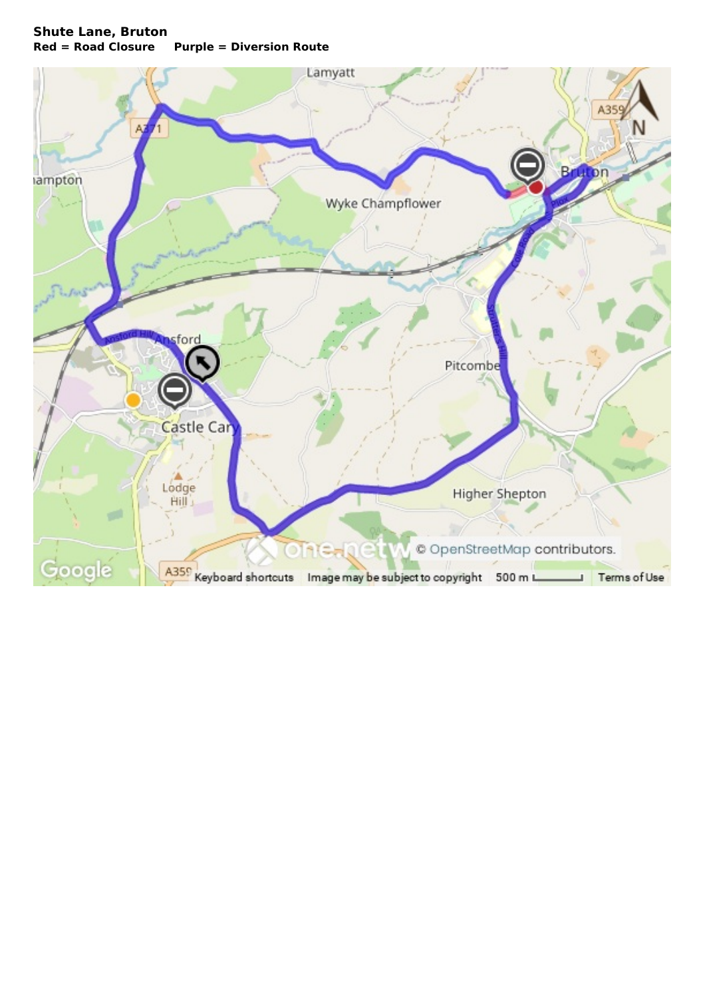# **Shute Lane, Bruton Red = Road Closure Purple = Diversion Route**